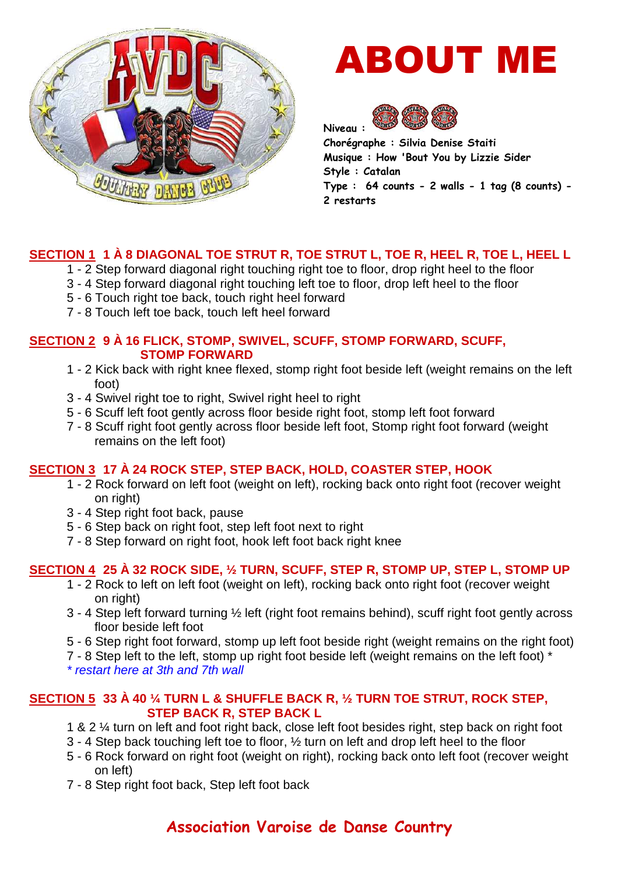

# ABOUT ME



**Chorégraphe : Silvia Denise Staiti Musique : How 'Bout You by Lizzie Sider Style : Catalan Type : 64 counts - 2 walls - 1 tag (8 counts) - 2 restarts** 

# **SECTION 1 1 À 8 DIAGONAL TOE STRUT R, TOE STRUT L, TOE R, HEEL R, TOE L, HEEL L**

- 1 2 Step forward diagonal right touching right toe to floor, drop right heel to the floor
- 3 4 Step forward diagonal right touching left toe to floor, drop left heel to the floor
- 5 6 Touch right toe back, touch right heel forward
- 7 8 Touch left toe back, touch left heel forward

#### **SECTION 2 9 À 16 FLICK, STOMP, SWIVEL, SCUFF, STOMP FORWARD, SCUFF, STOMP FORWARD**

- 1 2 Kick back with right knee flexed, stomp right foot beside left (weight remains on the left foot)
- 3 4 Swivel right toe to right, Swivel right heel to right
- 5 6 Scuff left foot gently across floor beside right foot, stomp left foot forward
- 7 8 Scuff right foot gently across floor beside left foot, Stomp right foot forward (weight remains on the left foot)

#### **SECTION 3 17 À 24 ROCK STEP, STEP BACK, HOLD, COASTER STEP, HOOK**

- 1 2 Rock forward on left foot (weight on left), rocking back onto right foot (recover weight on right)
- 3 4 Step right foot back, pause
- 5 6 Step back on right foot, step left foot next to right
- 7 8 Step forward on right foot, hook left foot back right knee

## **SECTION 4 25 À 32 ROCK SIDE, ½ TURN, SCUFF, STEP R, STOMP UP, STEP L, STOMP UP**

- 1 2 Rock to left on left foot (weight on left), rocking back onto right foot (recover weight on right)
- 3 4 Step left forward turning ½ left (right foot remains behind), scuff right foot gently across floor beside left foot
- 5 6 Step right foot forward, stomp up left foot beside right (weight remains on the right foot)
- 7 8 Step left to the left, stomp up right foot beside left (weight remains on the left foot) \*

\* restart here at 3th and 7th wall

#### **SECTION 5 33 À 40 ¼ TURN L & SHUFFLE BACK R, ½ TURN TOE STRUT, ROCK STEP, STEP BACK R, STEP BACK L**

- 1 & 2 ¼ turn on left and foot right back, close left foot besides right, step back on right foot
- 3 4 Step back touching left toe to floor, ½ turn on left and drop left heel to the floor
- 5 6 Rock forward on right foot (weight on right), rocking back onto left foot (recover weight on left)
- 7 8 Step right foot back, Step left foot back

# **Association Varoise de Danse Country**